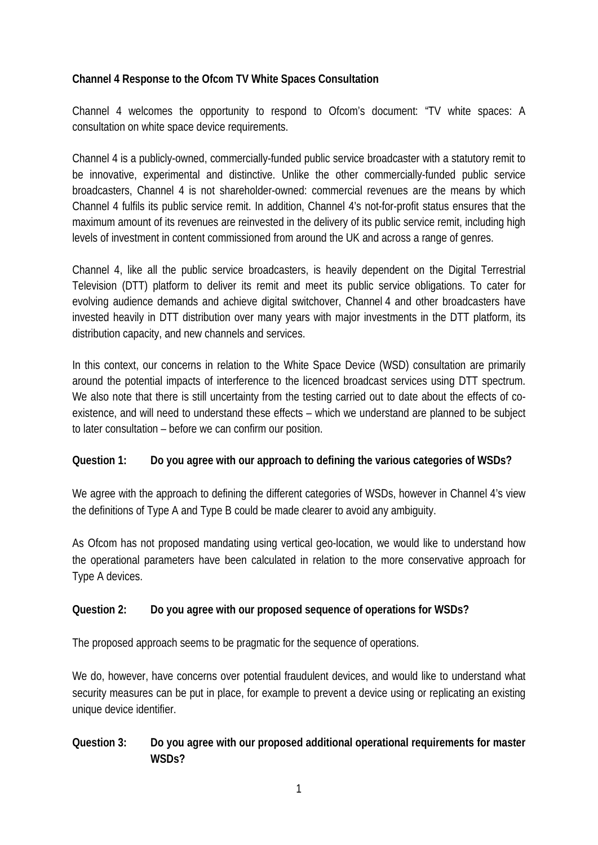#### **Channel 4 Response to the Ofcom TV White Spaces Consultation**

Channel 4 welcomes the opportunity to respond to Ofcom's document: "TV white spaces: A consultation on white space device requirements.

Channel 4 is a publicly-owned, commercially-funded public service broadcaster with a statutory remit to be innovative, experimental and distinctive. Unlike the other commercially-funded public service broadcasters, Channel 4 is not shareholder-owned: commercial revenues are the means by which Channel 4 fulfils its public service remit. In addition, Channel 4's not-for-profit status ensures that the maximum amount of its revenues are reinvested in the delivery of its public service remit, including high levels of investment in content commissioned from around the UK and across a range of genres.

Channel 4, like all the public service broadcasters, is heavily dependent on the Digital Terrestrial Television (DTT) platform to deliver its remit and meet its public service obligations. To cater for evolving audience demands and achieve digital switchover, Channel 4 and other broadcasters have invested heavily in DTT distribution over many years with major investments in the DTT platform, its distribution capacity, and new channels and services.

In this context, our concerns in relation to the White Space Device (WSD) consultation are primarily around the potential impacts of interference to the licenced broadcast services using DTT spectrum. We also note that there is still uncertainty from the testing carried out to date about the effects of coexistence, and will need to understand these effects – which we understand are planned to be subject to later consultation – before we can confirm our position.

#### **Question 1: Do you agree with our approach to defining the various categories of WSDs?**

We agree with the approach to defining the different categories of WSDs, however in Channel 4's view the definitions of Type A and Type B could be made clearer to avoid any ambiguity.

As Ofcom has not proposed mandating using vertical geo-location, we would like to understand how the operational parameters have been calculated in relation to the more conservative approach for Type A devices.

## **Question 2: Do you agree with our proposed sequence of operations for WSDs?**

The proposed approach seems to be pragmatic for the sequence of operations.

We do, however, have concerns over potential fraudulent devices, and would like to understand what security measures can be put in place, for example to prevent a device using or replicating an existing unique device identifier.

## **Question 3: Do you agree with our proposed additional operational requirements for master WSDs?**